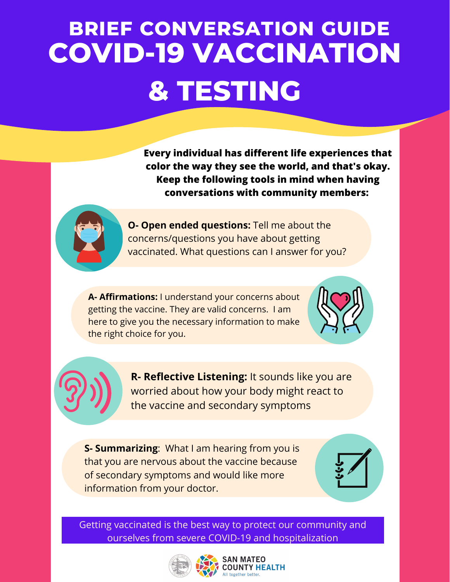## **COVID-19 VACCINATION & TESTING BRIEF CONVERSATION GUIDE**

**Every individual has different life experiences that color the way they see the world, and that's okay. Keep the following tools in mind when having conversations with community members:**



**O- Open ended questions:** Tell me about the concerns/questions you have about getting vaccinated. What questions can I answer for you?

**A- Affirmations:** I understand your concerns about getting the vaccine. They are valid concerns. I am here to give you the necessary information to make the right choice for you.

**R- Reflective Listening:** It sounds like you are worried about how your body might react to the vaccine and secondary symptoms

**S- Summarizing**: What I am hearing from you is that you are nervous about the vaccine because of secondary symptoms and would like more information from your doctor.



Getting vaccinated is the best way to protect our community and ourselves from severe COVID-19 and hospitalization



## **SAN MATEO COUNTY HEALTH**